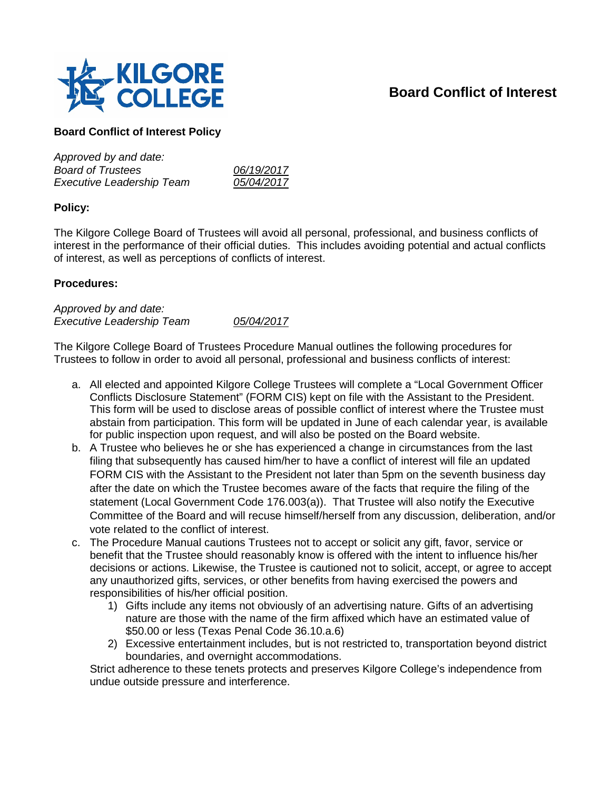

## **Board Conflict of Interest**

## **Board Conflict of Interest Policy**

| Approved by and date:            |            |
|----------------------------------|------------|
| <b>Board of Trustees</b>         | 06/19/2017 |
| <b>Executive Leadership Team</b> | 05/04/2017 |

## **Policy:**

The Kilgore College Board of Trustees will avoid all personal, professional, and business conflicts of interest in the performance of their official duties. This includes avoiding potential and actual conflicts of interest, as well as perceptions of conflicts of interest.

## **Procedures:**

*Approved by and date: Executive Leadership Team 05/04/2017*

The Kilgore College Board of Trustees Procedure Manual outlines the following procedures for Trustees to follow in order to avoid all personal, professional and business conflicts of interest:

- a. All elected and appointed Kilgore College Trustees will complete a "Local Government Officer Conflicts Disclosure Statement" (FORM CIS) kept on file with the Assistant to the President. This form will be used to disclose areas of possible conflict of interest where the Trustee must abstain from participation. This form will be updated in June of each calendar year, is available for public inspection upon request, and will also be posted on the Board website.
- b. A Trustee who believes he or she has experienced a change in circumstances from the last filing that subsequently has caused him/her to have a conflict of interest will file an updated FORM CIS with the Assistant to the President not later than 5pm on the seventh business day after the date on which the Trustee becomes aware of the facts that require the filing of the statement (Local Government Code 176.003(a)). That Trustee will also notify the Executive Committee of the Board and will recuse himself/herself from any discussion, deliberation, and/or vote related to the conflict of interest.
- c. The Procedure Manual cautions Trustees not to accept or solicit any gift, favor, service or benefit that the Trustee should reasonably know is offered with the intent to influence his/her decisions or actions. Likewise, the Trustee is cautioned not to solicit, accept, or agree to accept any unauthorized gifts, services, or other benefits from having exercised the powers and responsibilities of his/her official position.
	- 1) Gifts include any items not obviously of an advertising nature. Gifts of an advertising nature are those with the name of the firm affixed which have an estimated value of \$50.00 or less (Texas Penal Code 36.10.a.6)
	- 2) Excessive entertainment includes, but is not restricted to, transportation beyond district boundaries, and overnight accommodations.

Strict adherence to these tenets protects and preserves Kilgore College's independence from undue outside pressure and interference.